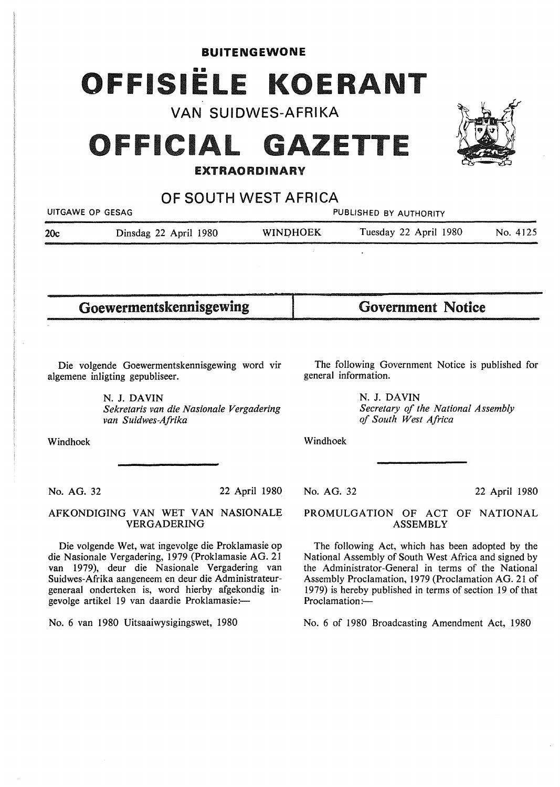**BUITENGEWONE** 

# OFFISIËLE KOERANT

**VAN SUIDWES-AFRIKA** 

# **OFFICIAL GAZETTE**

# **EXTRAO RDINARY**

**OF SOUTH WEST AFRICA** 

22 April 1980

UITGAWE OP GESAG **PUBLISHED BY AUTHORITY 20c** Dinsdag 22 April 1980 **WINOHOEK** Tuesday 22 April 1980 No. 4125

Goewermentskennisgewing

Government Notice

Die volgende Goewermentskennisgewing word vir algemene inligting gepubliseer.

> **N. J. DAVIN**  *Sekretaris van die Nasionale Vergadering van Suidwes-Afrika*

Windhoek

No. AG. 32

AFKONDIGING VAN WET VAN NASIONALE VERGADERING

Die volgende Wet, wat ingevolge die Proklamasie op die Nasionale Vergadering, 1979 (Proklamasie AG. 21 van 1979), deur die Nasionale Vergadering van Suidwes-Afrika aangeneem en deur die Administrateurgeneraal onderteken is, word hierby afgekondig ingevolge artikel 19 van daardie Proklamasie:-

No. 6 van 1980 Uitsaaiwysigingswet, 1980

The following Government Notice is published for general information.

> **N. J. DAVIN**  *Secretary of the National Assembly of South West Africa*

Windhoek

No. AG. 32

22 April 1980

PROMULGATION OF ACT OF NATIONAL ASSEMBLY

The following Act, which has been adopted by the National Assembly of South West Africa and signed by the Administrator-General in terms of the National Assembly Proclamation, 1979 (Proclamation AG. 21 of 1979) is hereby published in terms of section 19 of that Proclamation:-

No. 6 of 1980 Broadcasting Amendment Act, 1980

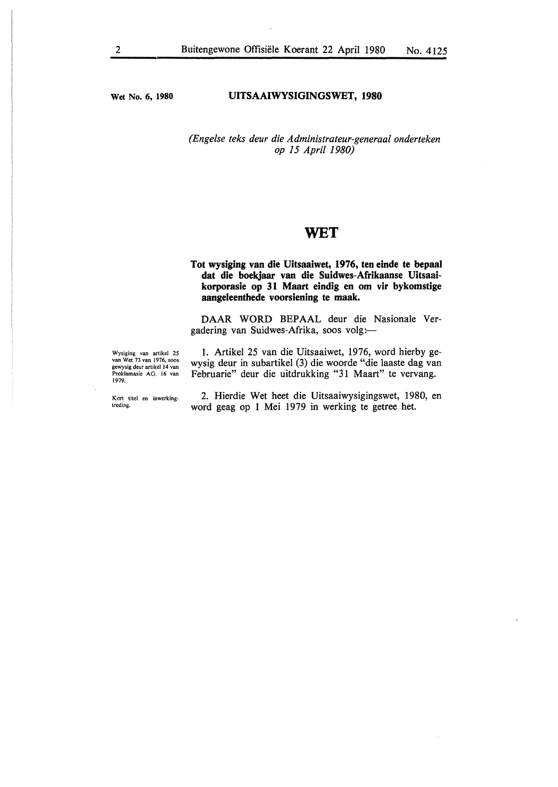**Wet No. 6, 1980** 

#### **UITSAAIWYSIGINGSWET, 1980**

## *(Engelse teks deur die Administrateur-generaal onderteken op 15 April 1980)*

# **WET**

### **Tot wysiging van die Uitsaaiwet, 1976, ten einde te bepaal dat die boekjaar van die Suidwes-Afrikaanse Uitsaaikorporasie op 31 Maart eindig en om vir bykomstige aangeleenthede voorsiening te maak.**

**DAAR WORD** BEPAAL deur die Nasionale Vergadering van Suidwes-Afrika, soos volg:

Wysiging van artikel 25 van Wet 73 van 1976, soos gewysig deur artikel 14 van Proklamasie AG. 16 van 1979.

Kort titel en inwerkingtreding.

1. Artikel 25 van die Uitsaaiwet, 1976, word hierby gewysig deur in subartikel (3) die woorde "die laaste dag van Februarie" deur die uitdrukking "31 Maart" te vervang.

2. Hierdie Wet heet die Uitsaaiwysigingswet, 1980, en word geag op 1 Mei 1979 in werking te getree het.